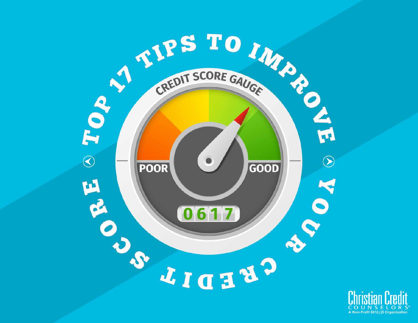

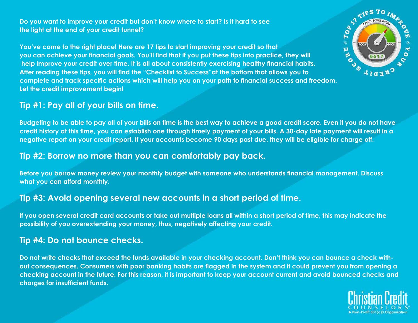**Do you want to improve your credit but don't know where to start? Is it hard to see the light at the end of your credit tunnel?**

**You've come to the right place! Here are 17 tips to start improving your credit so that you can achieve your financial goals. You'll find that if you put these tips into practice, they will help improve your credit over time. It is all about consistently exercising healthy financial habits. After reading these tips, you will find the "Checklist to Success"at the bottom that allows you to complete and track specific actions which will help you on your path to financial success and freedom. Let the credit improvement begin!**

### **Tip #1: Pay all of your bills on time.**

**Budgeting to be able to pay all of your bills on time is the best way to achieve a good credit score. Even if you do not have credit history at this time, you can establish one through timely payment of your bills. A 30-day late payment will result in a negative report on your credit report. If your accounts become 90 days past due, they will be eligible for charge off.** 

#### **Tip #2: Borrow no more than you can comfortably pay back.**

**Before you borrow money review your monthly budget with someone who understands financial management. Discuss what you can afford monthly.** 

### **Tip #3: Avoid opening several new accounts in a short period of time.**

**If you open several credit card accounts or take out multiple loans all within a short period of time, this may indicate the possibility of you overextending your money, thus, negatively affecting your credit.** 

### **Tip #4: Do not bounce checks.**

**Do not write checks that exceed the funds available in your checking account. Don't think you can bounce a check without consequences. Consumers with poor banking habits are flagged in the system and it could prevent you from opening a checking account in the future. For this reason, it is important to keep your account current and avoid bounced checks and charges for insufficient funds.** 



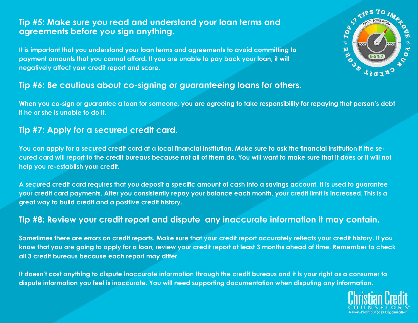### **Tip #5: Make sure you read and understand your loan terms and agreements before you sign anything.**

**It is important that you understand your loan terms and agreements to avoid committing to payment amounts that you cannot afford. If you are unable to pay back your loan, it will negatively affect your credit report and score.** 

#### **Tip #6: Be cautious about co-signing or guaranteeing loans for others.**

**When you co-sign or guarantee a loan for someone, you are agreeing to take responsibility for repaying that person's debt if he or she is unable to do it.** 

### **Tip #7: Apply for a secured credit card.**

**You can apply for a secured credit card at a local financial institution. Make sure to ask the financial institution if the secured card will report to the credit bureaus because not all of them do. You will want to make sure that it does or it will not help you re-establish your credit.** 

**A secured credit card requires that you deposit a specific amount of cash into a savings account. It is used to guarantee your credit card payments. After you consistently repay your balance each month, your credit limit is increased. This is a great way to build credit and a positive credit history.**

#### **Tip #8: Review your credit report and dispute any inaccurate information it may contain.**

**Sometimes there are errors on credit reports. Make sure that your credit report accurately reflects your credit history. If you know that you are going to apply for a loan, review your credit report at least 3 months ahead of time. Remember to check all 3 credit bureaus because each report may differ.** 

**It doesn't cost anything to dispute inaccurate information through the credit bureaus and it is your right as a consumer to dispute information you feel is inaccurate. You will need supporting documentation when disputing any information.** 



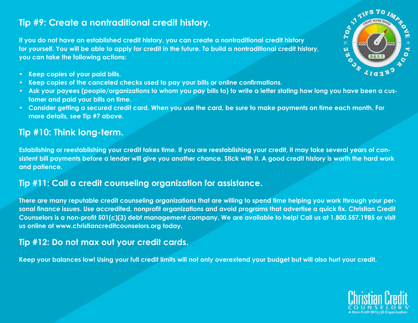# **Tip #9: Create a nontraditional credit history.**

**If you do not have an established credit history, you can create a nontraditional credit history for yourself. You will be able to apply for credit in the future. To build a nontraditional credit history, you can take the following actions:** 

- **• Keep copies of your paid bills.**
- **• Keep copies of the canceled checks used to pay your bills or online confirmations.**
- **• Ask your payees (people/organizations to whom you pay bills to) to write a letter stating how long you have been a customer and paid your bills on time.**
- **• Consider getting a secured credit card. When you use the card, be sure to make payments on time each month. For more details, see Tip #7 above.**

# **Tip #10: Think long-term.**

**Establishing or reestablishing your credit takes time. If you are reestablishing your credit, it may take several years of consistent bill payments before a lender will give you another chance. Stick with it. A good credit history is worth the hard work and patience.**

## **Tip #11: Call a credit counseling organization for assistance.**

**There are many reputable credit counseling organizations that are willing to spend time helping you work through your personal finance issues. Use accredited, nonprofit organizations and avoid programs that advertise a quick fix. Christian Credit Counselors is a non-profit 501(c)(3) debt management company. We are available to help! Call us at 1.800.557.1985 or visit us online at www.christiancreditcounselors.org today.**

## **Tip #12: Do not max out your credit cards.**

**Keep your balances low! Using your full credit limits will not only overextend your budget but will also hurt your credit.**



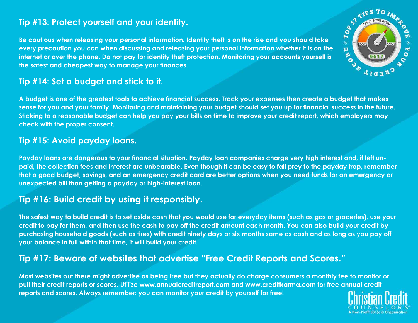## **Tip #13: Protect yourself and your identity.**

**Be cautious when releasing your personal information. Identity theft is on the rise and you should take every precaution you can when discussing and releasing your personal information whether it is on the internet or over the phone. Do not pay for identity theft protection. Monitoring your accounts yourself is the safest and cheapest way to manage your finances.** 



## **Tip #14: Set a budget and stick to it.**

**A budget is one of the greatest tools to achieve financial success. Track your expenses then create a budget that makes sense for you and your family. Monitoring and maintaining your budget should set you up for financial success in the future. Sticking to a reasonable budget can help you pay your bills on time to improve your credit report, which employers may check with the proper consent.** 

### **Tip #15: Avoid payday loans.**

**Payday loans are dangerous to your financial situation. Payday loan companies charge very high interest and, if left unpaid, the collection fees and interest are unbearable. Even though it can be easy to fall prey to the payday trap, remember that a good budget, savings, and an emergency credit card are better options when you need funds for an emergency or unexpected bill than getting a payday or high-interest loan.**

# **Tip #16: Build credit by using it responsibly.**

**The safest way to build credit is to set aside cash that you would use for everyday items (such as gas or groceries), use your credit to pay for them, and then use the cash to pay off the credit amount each month. You can also build your credit by purchasing household goods (such as tires) with credit ninety days or six months same as cash and as long as you pay off your balance in full within that time, it will build your credit.** 

# **Tip #17: Beware of websites that advertise "Free Credit Reports and Scores."**

**Most websites out there might advertise as being free but they actually do charge consumers a monthly fee to monitor or pull their credit reports or scores. Utilize www.annualcreditreport.com and www.creditkarma.com for free annual credit reports and scores. Always remember: you can monitor your credit by yourself for free!**

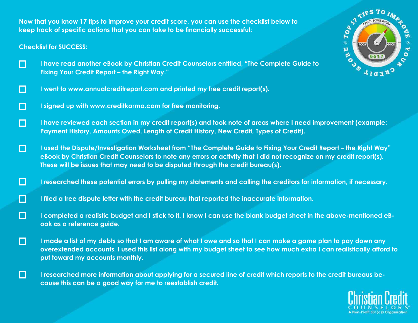**Now that you know 17 tips to improve your credit score, you can use the checklist below to keep track of specific actions that you can take to be financially successful:**

#### **Checklist for SUCCESS:**

П

- $\Box$ **I have read another eBook by Christian Credit Counselors entitled, "The Complete Guide to Fixing Your Credit Report – the Right Way."**
- O **I went to www.annualcreditreport.com and printed my free credit report(s).**
- **I signed up with www.creditkarma.com for free monitoring.**  O
- O **I have reviewed each section in my credit report(s) and took note of areas where I need improvement (example: Payment History, Amounts Owed, Length of Credit History, New Credit, Types of Credit).**
- O **I used the Dispute/Investigation Worksheet from "The Complete Guide to Fixing Your Credit Report – the Right Way" eBook by Christian Credit Counselors to note any errors or activity that I did not recognize on my credit report(s). These will be issues that may need to be disputed through the credit bureau(s).**
- $\Box$ **I researched these potential errors by pulling my statements and calling the creditors for information, if necessary.**
- **ICI I filed a free dispute letter with the credit bureau that reported the inaccurate information.**
- O **I completed a realistic budget and I stick to it. I know I can use the blank budget sheet in the above-mentioned eBook as a reference guide.**
- $\Box$ **I made a list of my debts so that I am aware of what I owe and so that I can make a game plan to pay down any overextended accounts. I used this list along with my budget sheet to see how much extra I can realistically afford to put toward my accounts monthly.** 
	- **I researched more information about applying for a secured line of credit which reports to the credit bureaus because this can be a good way for me to reestablish credit.**



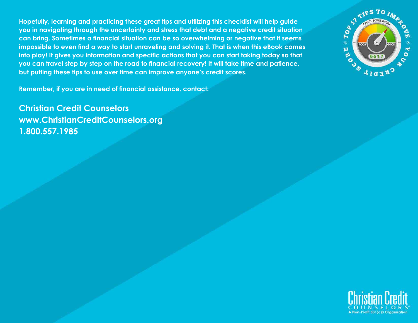**Hopefully, learning and practicing these great tips and utilizing this checklist will help guide you in navigating through the uncertainty and stress that debt and a negative credit situation can bring. Sometimes a financial situation can be so overwhelming or negative that it seems impossible to even find a way to start unraveling and solving it. That is when this eBook comes into play! It gives you information and specific actions that you can start taking today so that you can travel step by step on the road to financial recovery! It will take time and patience, but putting these tips to use over time can improve anyone's credit scores.** 

 $\begin{picture}(180,170) \put(0,0){\line(1,0){155}} \put(15,0){\line(1,0){155}} \put(15,0){\line(1,0){155}} \put(15,0){\line(1,0){155}} \put(15,0){\line(1,0){155}} \put(15,0){\line(1,0){155}} \put(15,0){\line(1,0){155}} \put(15,0){\line(1,0){155}} \put(15,0){\line(1,0){155}} \put(15,0){\line(1,0){155}} \put(15,0){\line(1,0){155$ M E AVOIR POOR R  $\bullet$ 061 CREDIL

**Remember, if you are in need of financial assistance, contact:**

**Christian Credit Counselors www.ChristianCreditCounselors.org 1.800.557.1985**